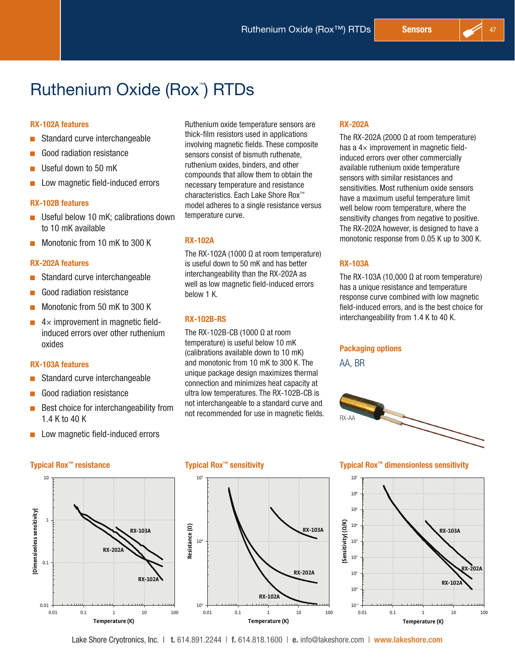# Ruthenium Oxide (Rox<sup>™</sup>) RTDs

#### RX-102A features

- $\blacksquare$  Standard curve interchangeable
- Good radiation resistance
- Useful down to 50 mK
- Low magnetic field-induced errors

#### RX-102B features

- $\blacksquare$  Useful below 10 mK; calibrations down to 10 mK available
- $\blacksquare$  Monotonic from 10 mK to 300 K

#### RX-202A features

- Standard curve interchangeable
- Good radiation resistance
- Monotonic from 50 mK to 300 K
- $\blacksquare$  4  $\times$  improvement in magnetic fieldinduced errors over other ruthenium oxides

#### RX-103A features

- Standard curve interchangeable
- Good radiation resistance
- $\blacksquare$  Best choice for interchangeability from 1.4 K to 40 K
- $\blacksquare$  Low magnetic field-induced errors

Typical Rox™ resistance Typical Rox™ sensitivity Typical Rox™ dimensionless sensitivity 10 10 **|Dimensionless sensitivity|** Dimensionless sensitivity 1 Resistance (Q) **Resistance ()) RX-103A**  $10<sup>4</sup>$ **RX-202A** 0.1 **RX-102A** 0.01  $10<sup>3</sup>$ 0.01 0.1 1 10 100 0.01 0.1 1 10 100 **Temperature (K)**

Ruthenium oxide temperature sensors are thick-film resistors used in applications involving magnetic fields. These composite sensors consist of bismuth ruthenate, ruthenium oxides, binders, and other compounds that allow them to obtain the necessary temperature and resistance characteristics. Each Lake Shore Rox™ model adheres to a single resistance versus temperature curve.

#### RX-102A

The RX-102A (1000  $\Omega$  at room temperature) is useful down to 50 mK and has better interchangeability than the RX-202A as well as low magnetic field-induced errors below 1 K.

### RX-102B-RS

The RX-102B-CB (1000  $Ω$  at room temperature) is useful below 10 mK (calibrations available down to 10 mK) and monotonic from 10 mK to 300 K. The unique package design maximizes thermal connection and minimizes heat capacity at ultra low temperatures. The RX-102B-CB is not interchangeable to a standard curve and not recommended for use in magnetic fields.

#### RX-202A

The RX-202A (2000 Ω at room temperature) has a  $4\times$  improvement in magnetic fieldinduced errors over other commercially available ruthenium oxide temperature sensors with similar resistances and sensitivities. Most ruthenium oxide sensors have a maximum useful temperature limit well below room temperature, where the sensitivity changes from negative to positive. The RX-202A however, is designed to have a monotonic response from 0.05 K up to 300 K.

### RX-103A

The RX-103A (10,000  $\Omega$  at room temperature) has a unique resistance and temperature response curve combined with low magnetic field-induced errors, and is the best choice for interchangeability from 1.4 K to 40 K.

#### Packaging options

AA, BR





Lake Shore Cryotronics, Inc. | t. 614.891.2244 | f. 614.818.1600 | e. info@lakeshore.com | www.lakeshore.com

**Temperature (K)**

**RX-102A**

**RX-202A**

**RX-103A**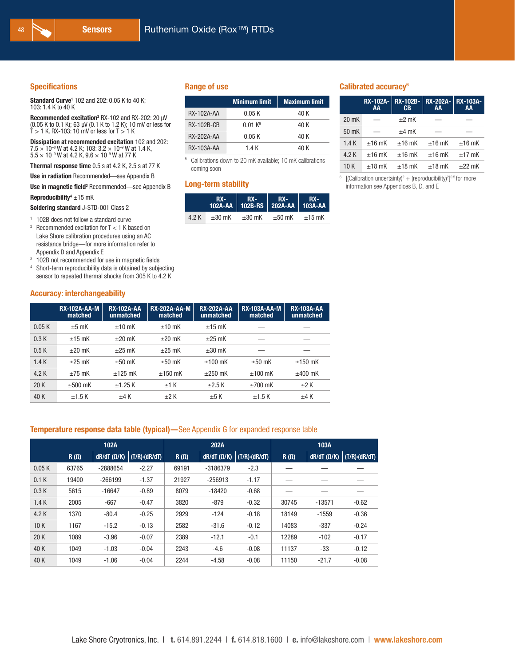#### **Specifications**

Standard Curve<sup>1</sup> 102 and 202: 0.05 K to 40 K; 103: 1.4 K to 40 K

Recommended excitation<sup>2</sup> RX-102 and RX-202: 20  $\mu$ V (0.05 K to 0.1 K); 63 µV (0.1 K to 1.2 K); 10 mV or less for  $T > 1$  K. RX-103: 10 mV or less for  $T > 1$  K

Dissipation at recommended excitation 102 and 202:  $7.5 \times 10^{-8}$  W at 4.2 K; 103:  $3.2 \times 10^{-9}$  W at 1.4 K,  $5.5 \times 10^{-9}$  W at 4.2 K,  $9.6 \times 10^{-9}$  W at 77 K

Thermal response time 0.5 s at 4.2 K, 2.5 s at 77 K

Use in radiation Recommended—see Appendix B

**Use in magnetic field**<sup>3</sup> Recommended—see Appendix B

Reproducibility<sup>4</sup>  $\pm$ 15 mK

Soldering standard J-STD-001 Class 2

<sup>1</sup> 102B does not follow a standard curve

 $2$  Recommended excitation for T < 1 K based on Lake Shore calibration procedures using an AC resistance bridge—for more information refer to Appendix D and Appendix E

<sup>3</sup> 102B not recommended for use in magnetic fields

<sup>4</sup> Short-term reproducibility data is obtained by subjecting sensor to repeated thermal shocks from 305 K to 4.2 K

#### Accuracy: interchangeability

#### Range of use

|                   | <b>Minimum limit</b> | <b>Maximum limit</b> |
|-------------------|----------------------|----------------------|
| <b>RX-102A-AA</b> | 0.05 K               | 40 K                 |
| <b>RX-102B-CB</b> | 0.01 K <sup>5</sup>  | 40 K                 |
| <b>RX-202A-AA</b> | 0.05K                | 40 K                 |
| RX-103A-AA        | 1.4 K                | 40 K                 |

<sup>5</sup> Calibrations down to 20 mK available; 10 mK calibrations coming soon

#### Long-term stability

|       |  | RX-   RX-   RX-   RX-  <br> 102A-AA    102B-RS    202A-AA    103A-AA |                         |  |
|-------|--|----------------------------------------------------------------------|-------------------------|--|
| 4.2 K |  | $\pm 30 \text{ mK}$ $\pm 30 \text{ mK}$                              | $\pm 50$ mK $\pm 15$ mK |  |

#### Calibrated accuracy<sup>6</sup>

|       | <b>RX-102A-</b><br>AA | <b>RX-102B-</b><br>CВ | RX-202A-   RX-103A-<br>AA | AA          |
|-------|-----------------------|-----------------------|---------------------------|-------------|
| 20 mK |                       | $\pm 2$ mK            |                           |             |
| 50 mK |                       | $±4$ mK               |                           |             |
| 1.4K  | $±16$ mK              | $±16$ mK              | $±16$ mK                  | $±16$ mK    |
| 4.2 K | $±16$ mK              | $±16$ mK              | $±16$ mK                  | $±17$ mK    |
| 10K   | $±18$ mK              | $±18$ mK              | $±18$ mK                  | $\pm 22$ mK |

 $6 \left[$  (Calibration uncertainty)<sup>2</sup> + (reproducibility)<sup>2</sup>]<sup>0.5</sup> for more information see Appendices B, D, and E

|       | <b>RX-102A-AA-M</b><br>matched | <b>RX-102A-AA</b><br>unmatched | <b>RX-202A-AA-M</b><br>matched | <b>RX-202A-AA</b><br>unmatched | <b>RX-103A-AA-M</b><br>matched | <b>RX-103A-AA</b><br>unmatched |
|-------|--------------------------------|--------------------------------|--------------------------------|--------------------------------|--------------------------------|--------------------------------|
| 0.05K | $±5$ mK                        | $±10$ mK                       | $\pm 10$ mK                    | $±15$ mK                       |                                |                                |
| 0.3K  | $±15$ mK                       | $\pm 20$ mK                    | $\pm 20$ mK                    | $\pm 25$ mK                    |                                |                                |
| 0.5K  | $\pm 20$ mK                    | $\pm 25$ mK                    | $\pm 25$ mK                    | $\pm 30$ mK                    |                                |                                |
| 1.4K  | $\pm 25$ mK                    | $\pm 50$ mK                    | $\pm 50$ mK                    | $\pm 100$ mK                   | $\pm 50$ mK                    | $\pm 150$ mK                   |
| 4.2K  | $\pm 75$ mK                    | $±125$ mK                      | $\pm$ 150 mK                   | $\pm 250$ mK                   | $\pm 100$ mK                   | $\pm 400$ mK                   |
| 20K   | $\pm 500$ mK                   | ±1.25K                         | $±1$ K                         | $\pm 2.5$ K                    | $\pm 700$ mK                   | $\pm 2$ K                      |
| 40 K  | ±1.5K                          | $±4$ K                         | $\pm 2$ K                      | $±5$ K                         | $\pm$ 1.5 K                    | $±4$ K                         |

#### Temperature response data table (typical)—See Appendix G for expanded response table

|       | 102A        |           |                                                  |             | 202A       |                                                    |             | 103A     |                                             |  |
|-------|-------------|-----------|--------------------------------------------------|-------------|------------|----------------------------------------------------|-------------|----------|---------------------------------------------|--|
|       | $R(\Omega)$ |           | dR/dT ( $\Omega$ /K) $\sqrt{(T/R)\cdot (dR/dT)}$ | $R(\Omega)$ |            | $dR/dT$ ( $\Omega/K$ )   (T/R) $\cdot$ ( $dR/dT$ ) | $R(\Omega)$ |          | $dR/dT(Q/K)$ $\overline{(T/R)\cdot(dR/dT)}$ |  |
| 0.05K | 63765       | -2888654  | $-2.27$                                          | 69191       | $-3186379$ | $-2.3$                                             |             |          |                                             |  |
| 0.1K  | 19400       | $-266199$ | $-1.37$                                          | 21927       | $-256913$  | $-1.17$                                            |             |          |                                             |  |
| 0.3K  | 5615        | $-16647$  | $-0.89$                                          | 8079        | $-18420$   | $-0.68$                                            |             |          |                                             |  |
| 1.4K  | 2005        | $-667$    | $-0.47$                                          | 3820        | $-879$     | $-0.32$                                            | 30745       | $-13571$ | $-0.62$                                     |  |
| 4.2K  | 1370        | $-80.4$   | $-0.25$                                          | 2929        | $-124$     | $-0.18$                                            | 18149       | $-1559$  | $-0.36$                                     |  |
| 10K   | 1167        | $-15.2$   | $-0.13$                                          | 2582        | $-31.6$    | $-0.12$                                            | 14083       | $-337$   | $-0.24$                                     |  |
| 20K   | 1089        | $-3.96$   | $-0.07$                                          | 2389        | $-12.1$    | $-0.1$                                             | 12289       | $-102$   | $-0.17$                                     |  |
| 40K   | 1049        | $-1.03$   | $-0.04$                                          | 2243        | $-4.6$     | $-0.08$                                            | 11137       | $-33$    | $-0.12$                                     |  |
| 40K   | 1049        | $-1.06$   | $-0.04$                                          | 2244        | $-4.58$    | $-0.08$                                            | 11150       | $-21.7$  | $-0.08$                                     |  |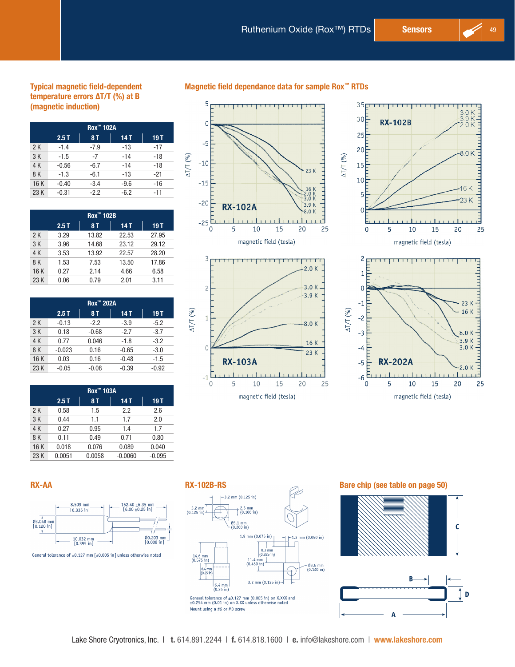16 K

 $23K$ 

25

20

15

#### Typical magnetic field-dependent temperature errors ΔT/T (%) at B (magnetic induction)

| Rox <sup>™</sup> 102A             |         |        |        |       |  |  |  |  |
|-----------------------------------|---------|--------|--------|-------|--|--|--|--|
| 2.5T<br><b>8T</b><br>19 T<br>14 T |         |        |        |       |  |  |  |  |
| 2K                                | $-1.4$  | $-7.9$ | $-13$  | $-17$ |  |  |  |  |
| 3K                                | $-1.5$  | $-7$   | $-14$  | $-18$ |  |  |  |  |
| 4 K                               | $-0.56$ | $-6.7$ | $-14$  | $-18$ |  |  |  |  |
| 8 K                               | $-1.3$  | $-6.1$ | $-13$  | $-21$ |  |  |  |  |
| 16 K                              | $-0.40$ | $-3.4$ | $-9.6$ | $-16$ |  |  |  |  |
| 23 K                              | $-0.31$ | $-2.2$ | $-6.2$ | $-11$ |  |  |  |  |

|     | Rox <sup>™</sup> 102B |           |            |       |  |  |  |
|-----|-----------------------|-----------|------------|-------|--|--|--|
|     | 2.5T                  | <b>8T</b> | <b>14T</b> | 19T   |  |  |  |
| 2K  | 3.29                  | 13.82     | 22.53      | 27.95 |  |  |  |
| 3K  | 3.96                  | 14.68     | 23.12      | 29.12 |  |  |  |
| 4 K | 3.53                  | 13.92     | 22.57      | 28.20 |  |  |  |
| 8 K | 1.53                  | 7.53      | 13.50      | 17.86 |  |  |  |
| 16K | 0.27                  | 2.14      | 4.66       | 6.58  |  |  |  |
| 23K | 0.06                  | 0.79      | 2.01       | 3.11  |  |  |  |

| <b>Rox™ 202A</b> |          |           |         |         |  |  |  |
|------------------|----------|-----------|---------|---------|--|--|--|
|                  | 2.5T     | <b>8T</b> | 14 T    | 19T     |  |  |  |
| 2 K              | $-0.13$  | $-2.2$    | $-3.9$  | $-5.2$  |  |  |  |
| 3K               | 0.18     | $-0.68$   | $-2.7$  | $-3.7$  |  |  |  |
| 4 K              | 0.77     | 0.046     | $-1.8$  | $-3.2$  |  |  |  |
| 8 K              | $-0.023$ | 0.16      | $-0.65$ | $-3.0$  |  |  |  |
| 16K              | 0.03     | 0.16      | $-0.48$ | $-1.5$  |  |  |  |
| 23 K             | $-0.05$  | $-0.08$   | $-0.39$ | $-0.92$ |  |  |  |

| Rox™ 103A |        |           |           |          |  |  |  |  |
|-----------|--------|-----------|-----------|----------|--|--|--|--|
|           | 2.5T   | <b>8T</b> | 14 T      | 19 T     |  |  |  |  |
| 2K        | 0.58   | 1.5       | 2.2       | 2.6      |  |  |  |  |
| 3K        | 0.44   | 1.1       | 1.7       | 2.0      |  |  |  |  |
| 4 K       | 0.27   | 0.95      | 1.4       | 1.7      |  |  |  |  |
| 8 K       | 0.11   | 0.49      | 0.71      | 0.80     |  |  |  |  |
| 16K       | 0.018  | 0.076     | 0.089     | 0.040    |  |  |  |  |
| 23K       | 0.0051 | 0.0058    | $-0.0060$ | $-0.095$ |  |  |  |  |



 $\mathbf 0$ 

 $-1$ 

 $\mathbf 0$ 

**RX-103A** 

 $10\,$ 

magnetic field (tesla)

5

Magnetic field dependance data for sample Rox™ RTDs







RX-AA RX-AA RX-102B-RS Bare chip (see table on [page 50](#page-3-0))  $3.2 \text{ mm}$  (0.125 in)  $(0.100 \text{ in})$  $3.2$  mm<br>(0.125 in)- $\frac{\emptyset5.1 \text{ mm}}{(0.200 \text{ in})}$ 1.9 mm  $(0.075 \text{ in})$  $+1.3$  mm (0.050 in)  $8.3 \text{ mm}$ <br>(0.325 in)  $14.6$  mm<br>(0.575 in)  $11.4 \text{ mm}$ <br>(0.450 in) - Ø3.6 mm<br>(0.140 in)  $\begin{array}{c} 1 \\ 6.4 \text{ m} \\ (0.25 \text{ i}) \\ 1 \end{array}$ 3.2 mm  $(0.125 \text{ in}) -6.4$  mm-<br>(0.25 in) General tolerance of  $\pm 0.127$  mm (0.005 in) on X.XXX and  $\pm 0.254$  mm (0.01 in) on X.XX unless otherwise noted Mount using a #6 or M3 screw